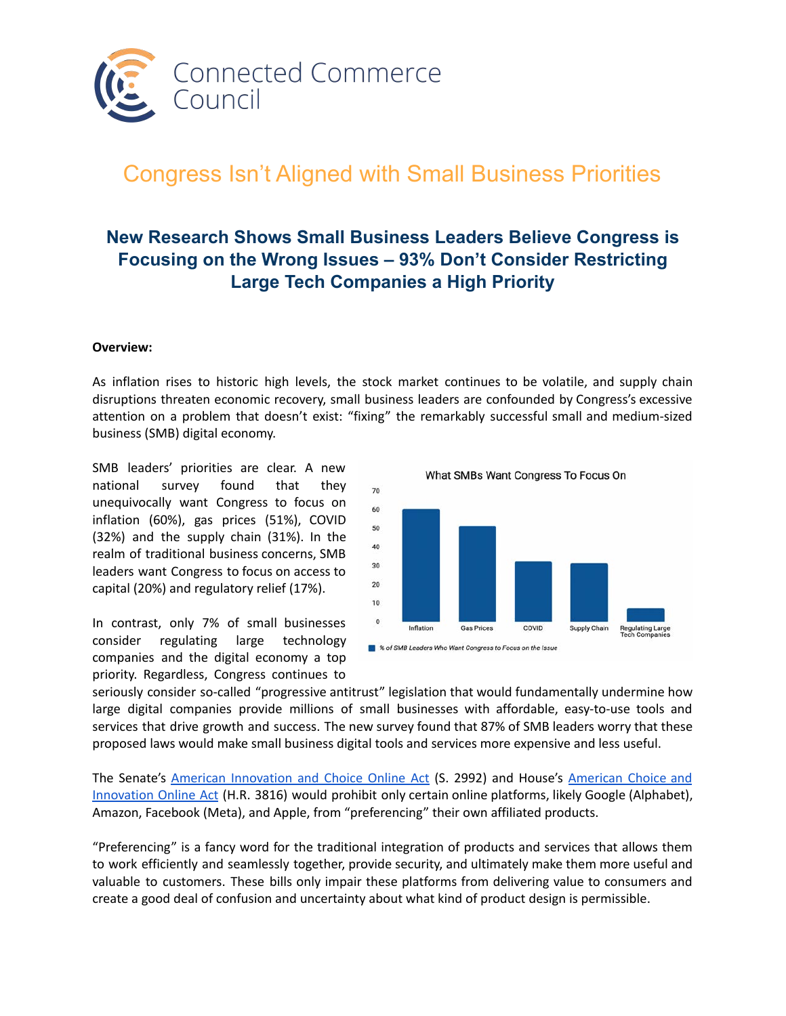

# Congress Isn't Aligned with Small Business Priorities

# **New Research Shows Small Business Leaders Believe Congress is Focusing on the Wrong Issues – 93% Don't Consider Restricting Large Tech Companies a High Priority**

#### **Overview:**

As inflation rises to historic high levels, the stock market continues to be volatile, and supply chain disruptions threaten economic recovery, small business leaders are confounded by Congress's excessive attention on a problem that doesn't exist: "fixing" the remarkably successful small and medium-sized business (SMB) digital economy.

SMB leaders' priorities are clear. A new national survey found that they unequivocally want Congress to focus on inflation (60%), gas prices (51%), COVID (32%) and the supply chain (31%). In the realm of traditional business concerns, SMB leaders want Congress to focus on access to capital (20%) and regulatory relief (17%).

In contrast, only 7% of small businesses consider regulating large technology companies and the digital economy a top priority. Regardless, Congress continues to



seriously consider so-called "progressive antitrust" legislation that would fundamentally undermine how large digital companies provide millions of small businesses with affordable, easy-to-use tools and services that drive growth and success. The new survey found that 87% of SMB leaders worry that these proposed laws would make small business digital tools and services more expensive and less useful.

The Senate's [American Innovation and Choice Online Act](https://www.congress.gov/bill/117th-congress/senate-bill/2992/text) (S. 2992) and House's [American Choice and](https://www.congress.gov/117/bills/hr3816/BILLS-117hr3816ih.pdf) [Innovation Online Act](https://www.congress.gov/117/bills/hr3816/BILLS-117hr3816ih.pdf) (H.R. 3816) would prohibit only certain online platforms, likely Google (Alphabet), Amazon, Facebook (Meta), and Apple, from "preferencing" their own affiliated products.

"Preferencing" is a fancy word for the traditional integration of products and services that allows them to work efficiently and seamlessly together, provide security, and ultimately make them more useful and valuable to customers. These bills only impair these platforms from delivering value to consumers and create a good deal of confusion and uncertainty about what kind of product design is permissible.